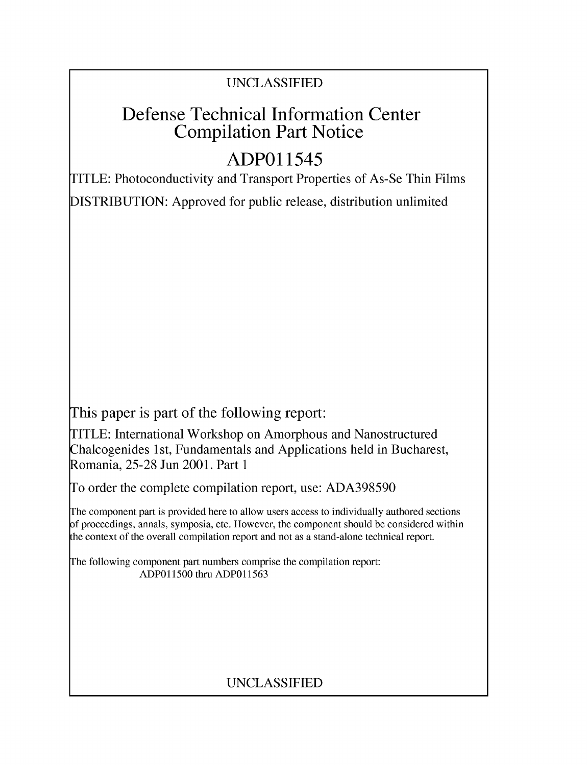# UNCLASSIFIED

# Defense Technical Information Center Compilation Part Notice

# **ADPO** 11545

TITLE: Photoconductivity and Transport Properties of As-Se Thin Films

DISTRIBUTION: Approved for public release, distribution unlimited

This paper is part of the following report:

TITLE: International Workshop on Amorphous and Nanostructured Chalcogenides 1 st, Fundamentals and Applications held in Bucharest, Romania, 25-28 Jun 2001. Part 1

To order the complete compilation report, use: ADA398590

The component part is provided here to allow users access to individually authored sections f proceedings, annals, symposia, etc. However, the component should be considered within [he context of the overall compilation report and not as a stand-alone technical report.

The following component part numbers comprise the compilation report: ADPO11500 thru ADP011563

# UNCLASSIFIED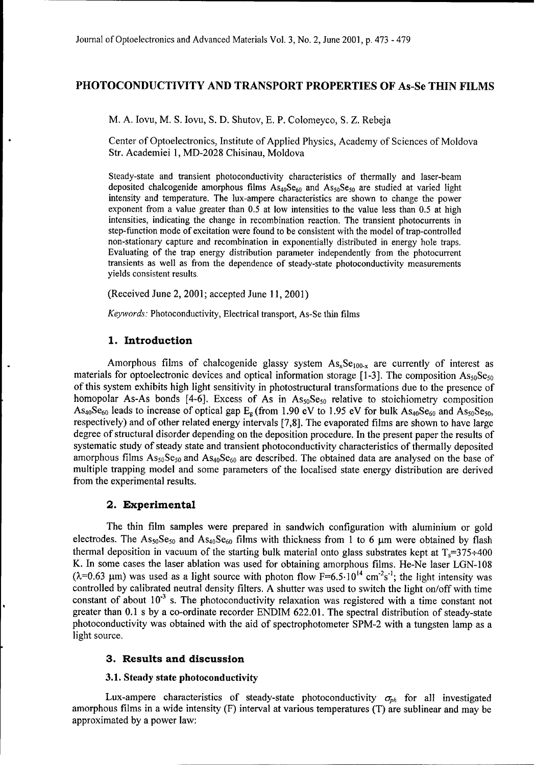## **PHOTOCONDUCTIVITY AND** TRANSPORT PROPERTIES OF As-Se **THIN** FILMS

M. **A.** Iovu, M. **S.** Iovu, **S.** D. Shutov, **E.** P. Colomeyco, **S.** Z. Rebeja

Center of Optoelectronics, Institute of Applied Physics, Academy of Sciences of Moldova Str. Academiei 1, MD-2028 Chisinau, Moldova

Steady-state and transient photoconductivity characteristics of thermally and laser-beam deposited chalcogenide amorphous films  $As_{40}Se_{60}$  and  $As_{50}Se_{50}$  are studied at varied light intensity and temperature. The lux-ampere characteristics are shown to change the power exponent from a value greater than 0.5 at low intensities to the value less than 0.5 at high intensities, indicating the change in recombination reaction. The transient photocurrents in step-function mode of excitation were found to be consistent with the model of trap-controlled non-stationary capture and recombination in exponentially distributed in energy hole traps. Evaluating of the trap energy distribution parameter independently from the photocurrent transients as well as from the dependence of steady-state photoconductivity measurements yields consistent results.

(Received June 2, 2001; accepted June 11, 2001)

*Keywords:* Photoconductivity, Electrical transport, As-Se thin films

## **1.** Introduction

Amorphous films of chalcogenide glassy system  $As_xSe_{100-x}$  are currently of interest as materials for optoelectronic devices and optical information storage [1-3]. The composition  $\text{As}_{50}\text{Se}_{50}$ of this system exhibits high light sensitivity in photostructural transformations due to the presence of homopolar As-As bonds [4-6]. Excess of As in  $\text{As}_{50}\text{Se}_{50}$  relative to stoichiometry composition As<sub>40</sub>Se<sub>60</sub> leads to increase of optical gap  $E_g$  (from 1.90 eV to 1.95 eV for bulk As<sub>40</sub>Se<sub>60</sub> and As<sub>50</sub>Se<sub>50</sub>, respectively) and of other related energy intervals [7,8]. The evaporated films are shown to have large degree of structural disorder depending on the deposition procedure. In the present paper the results of systematic study of steady state and transient photoconductivity characteristics of thermally deposited amorphous films  $As_{50}Se_{50}$  and  $As_{40}Se_{60}$  are described. The obtained data are analysed on the base of multiple trapping model and some parameters of the localised state energy distribution are derived from the experimental results.

### 2. Experimental

The thin film samples were prepared in sandwich configuration with aluminium or gold electrodes. The  $\text{As}_{50}\text{Se}_{50}$  and  $\text{As}_{40}\text{Se}_{60}$  films with thickness from 1 to 6 µm were obtained by flash thermal deposition in vacuum of the starting bulk material onto glass substrates kept at  $T_s=375+400$ K. In some cases the laser ablation was used for obtaining amorphous films. He-Ne laser LGN-108 ( $\lambda$ =0.63 µm) was used as a light source with photon flow F=6.5.10<sup>14</sup> cm<sup>-2</sup>s<sup>-1</sup>; the light intensity was controlled by calibrated neutral density filters. A shutter was used to switch the light on/off with time constant of about 10<sup>-3</sup> s. The photoconductivity relaxation was registered with a time constant not greater than 0.1 s by a co-ordinate recorder ENDIM 622.01. The spectral distribution of steady-state photoconductivity was obtained with the aid of spectrophotometer SPM-2 with a tungsten lamp as a light source.

### **3.** Results and discussion

#### **3.1.** Steady state photoconductivity

Lux-ampere characteristics of steady-state photoconductivity  $\sigma_{ph}$  for all investigated amorphous films in a wide intensity (F) interval at various temperatures (T) are sublinear and may be approximated by a power law: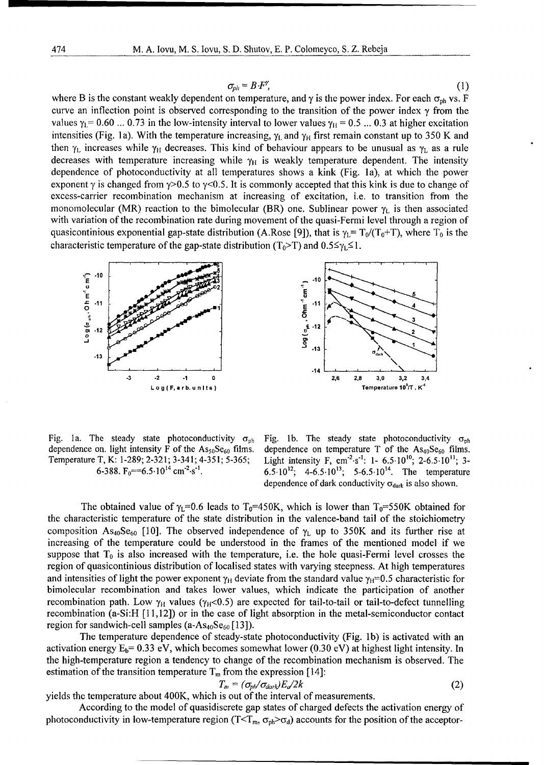$$
\sigma_{ph} = B \cdot F^{\gamma}, \tag{1}
$$

where B is the constant weakly dependent on temperature, and  $\gamma$  is the power index. For each  $\sigma_{ph}$  vs. F curve an inflection point is observed corresponding to the transition of the power index **y** from the values  $\gamma_1 = 0.60$  ... 0.73 in the low-intensity interval to lower values  $\gamma_H = 0.5$  ... 0.3 at higher excitation intensities (Fig. 1a). With the temperature increasing,  $\gamma_L$  and  $\gamma_H$  first remain constant up to 350 K and then  $\gamma_L$  increases while  $\gamma_H$  decreases. This kind of behaviour appears to be unusual as  $\gamma_L$  as a rule decreases with temperature increasing while  $\gamma_H$  is weakly temperature dependent. The intensity dependence of photoconductivity at all temperatures shows a kink (Fig. la), at which the power exponent  $\gamma$  is changed from  $\gamma$ >0.5 to  $\gamma$ <0.5. It is commonly accepted that this kink is due to change of excess-carrier recombination mechanism at increasing of excitation, i.e. to transition from the monomolecular (MR) reaction to the bimolecular (BR) one. Sublinear power  $\gamma_L$  is then associated with variation of the recombination rate during movement of the quasi-Fermi level through a region of quasicontinious exponential gap-state distribution (A.Rose [9]), that is  $\gamma_L = T_0/(T_0+T)$ , where  $T_0$  is the characteristic temperature of the gap-state distribution  $(T_0 > T)$  and  $0.5 \leq \gamma_L \leq 1$ .





dependence on. light intensity F of the As<sub>50</sub>Se<sub>60</sub> films. dependence on temperature T of the As<sub>40</sub>Se<sub>60</sub> films. dependence on. light intensity F of the As<sub>50</sub>Se<sub>60</sub> films.<br>Temperature T, K: 1-289; 2-321; 3-341; 4-351; 5-365;<br>6-388. F<sub>0</sub>==6.5·10<sup>14</sup> cm<sup>-2</sup>·s<sup>-1</sup>.

Fig. 1a. The steady state photoconductivity  $\sigma_{ph}$  Fig. 1b. The steady state photoconductivity  $\sigma_{ph}$  $^{2}\cdot$ s<sup>-1</sup>: 1- 6.5 $\cdot$ 10<sup>10</sup>; 2-6.5 $\cdot$ 10<sup>11</sup>; 3-6.5.10<sup>12</sup>; 4-6.5.10<sup>13</sup>; 5-6.5.10<sup>14</sup>. The temperature dependence of dark conductivity  $\sigma_{dark}$  is also shown.

The obtained value of  $\gamma_1=0.6$  leads to T<sub>0</sub>=450K, which is lower than T<sub>0</sub>=550K obtained for the characteristic temperature of the state distribution in the valence-band tail of the stoichiometry composition As<sub>40</sub>Se<sub>60</sub> [10]. The observed independence of  $\gamma_L$  up to 350K and its further rise at increasing of the temperature could be understood in the frames of the mentioned model if we suppose that  $T_0$  is also increased with the temperature, i.e. the hole quasi-Fermi level crosses the region of quasicontinious distribution of localised states with varying steepness. At high temperatures and intensities of light the power exponent  $\gamma_H$  deviate from the standard value  $\gamma_H=0.5$  characteristic for bimolecular recombination and takes lower values, which indicate the participation of another recombination path. Low  $\gamma_H$  values ( $\gamma_H$ <0.5) are expected for tail-to-tail or tail-to-defect tunnelling recombination (a-Si:H [11,12]) or in the case of light absorption in the metal-semiconductor contact region for sandwich-cell samples  $(a-As_{40}Se_{60}[13])$ 

The temperature dependence of steady-state photoconductivity (Fig. **lb)** is activated with an activation energy  $E_b$ = 0.33 eV, which becomes somewhat lower (0.30 eV) at highest light intensity. In the high-temperature region a tendency to change of the recombination mechanism is observed. The estimation of the transition temperature  $T_m$  from the expression [14]:

$$
T_m = (\sigma_{ph}/\sigma_{dark})E_d/2k \tag{2}
$$

yields the temperature about 400K, which is out of the interval of measurements.

According to the model of quasidiscrete gap states of charged defects the activation energy of photoconductivity in low-temperature region ( $T < T_m$ ,  $\sigma_{ph} > \sigma_d$ ) accounts for the position of the acceptor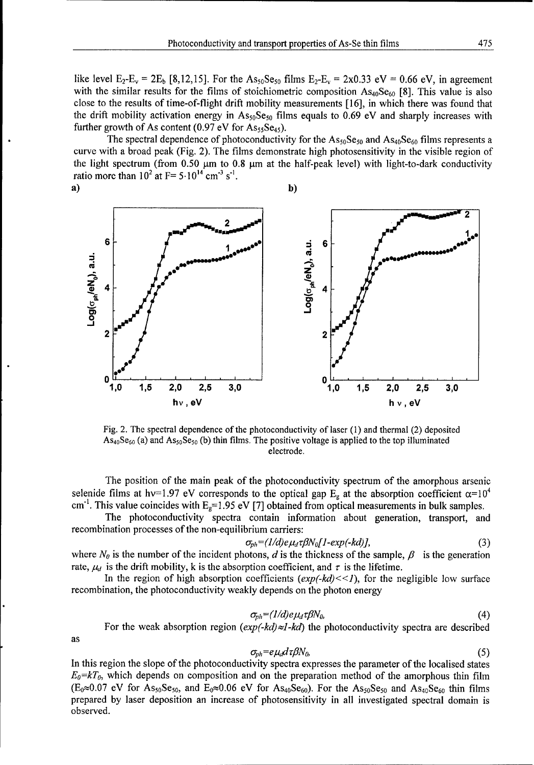like level  $E_2-E_v = 2E_b [8,12,15]$ . For the  $As_{50}Se_{50}$  films  $E_2-E_v = 2x0.33$  eV = 0.66 eV, in agreement with the similar results for the films of stoichiometric composition  $As<sub>40</sub>Se<sub>60</sub>$  [8]. This value is also close to the results of time-of-flight drift mobility measurements [16], in which there was found that the drift mobility activation energy in  $\text{As}_{50}\text{Se}_{50}$  films equals to 0.69 eV and sharply increases with further growth of As content (0.97 eV for  $\text{As}_{55}\text{Se}_{45}$ ).

The spectral dependence of photoconductivity for the  $\text{As}_{50}\text{Se}_{50}$  and  $\text{As}_{40}\text{Se}_{60}$  films represents a curve with a broad peak (Fig. 2). The films demonstrate high photosensitivity in the visible region of the light spectrum (from  $0.50 \mu m$  to  $0.8 \mu m$  at the half-peak level) with light-to-dark conductivity ratio more than  $10^2$  at F=  $5.10^{14}$  cm<sup>-3</sup> s<sup>-1</sup>.



Fig. 2. The spectral dependence of the photoconductivity of laser (1) and thermal (2) deposited  $\text{As}_{40}\text{Se}_{60}$  (a) and  $\text{As}_{50}\text{Se}_{50}$  (b) thin films. The positive voltage is applied to the top illuminated electrode.

The position of the main peak of the photoconductivity spectrum of the amorphous arsenic selenide films at hv=1.97 eV corresponds to the optical gap  $E_g$  at the absorption coefficient  $\alpha=10^4$ cm<sup>-1</sup>. This value coincides with  $E_g=1.95$  eV [7] obtained from optical measurements in bulk samples.

The photoconductivity spectra contain information about generation, transport, and recombination processes of the non-equilibrium carriers:

$$
\sigma_{ph} = (1/d)e\mu_d\tau\beta N_0[1-\exp(-kd)],\tag{3}
$$

where  $N_{\theta}$  is the number of the incident photons, d is the thickness of the sample,  $\beta$  is the generation rate,  $\mu_d$  is the drift mobility, k is the absorption coefficient, and  $\tau$  is the lifetime.

In the region of high absorption coefficients  $(exp(-kd) \lt l)$ , for the negligible low surface recombination, the photoconductivity weakly depends on the photon energy

$$
\sigma_{ph} = (1/d)e\mu_d\tau\beta N_0 \tag{4}
$$

For the weak absorption region  $(exp(-kd) \approx l - kd)$  the photoconductivity spectra are described

as

$$
\sigma_{ph} = e\mu_d d\tau \beta N_0,\tag{5}
$$

In this region the slope of the photoconductivity spectra expresses the parameter of the localised states *Eo=kTo,* which depends on composition and on the preparation method of the amorphous thin film  $(E_0 \approx 0.07 \text{ eV}$  for As<sub>50</sub>Se<sub>50</sub>, and  $E_0 \approx 0.06 \text{ eV}$  for As<sub>40</sub>Se<sub>60</sub>). For the As<sub>50</sub>Se<sub>50</sub> and As<sub>40</sub>Se<sub>60</sub> thin films prepared by laser deposition an increase of photosensitivity in all investigated spectral domain is observed.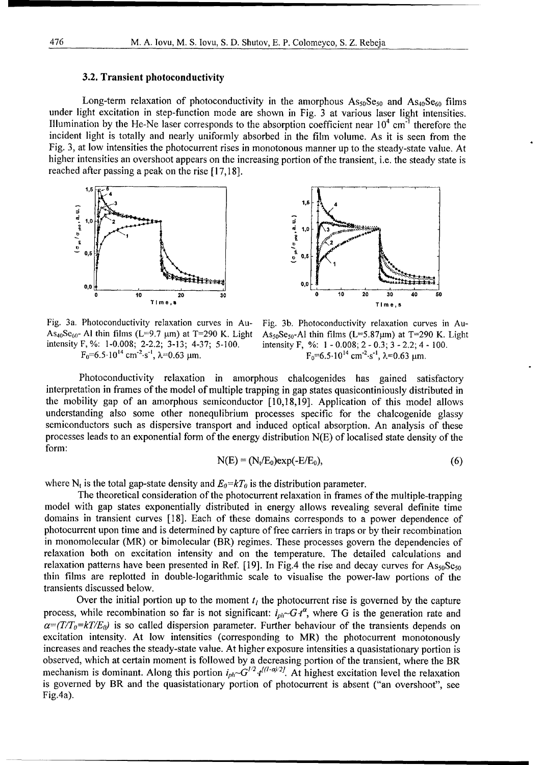#### 3.2. Transient photoconductivity

Long-term relaxation of photoconductivity in the amorphous  $\text{As}_{50}\text{Se}_{50}$  and  $\text{As}_{40}\text{Se}_{60}$  films under light excitation in step-function mode are shown in Fig. 3 at various laser light intensities. Illumination by the He-Ne laser corresponds to the absorption coefficient near  $10^4$  cm<sup>-1</sup> therefore the incident light is totally and nearly uniformly absorbed in the film volume. As it is seen from the Fig. 3, at low intensities the photocurrent rises in monotonous manner up to the steady-state value. At higher intensities an overshoot appears on the increasing portion of the transient, i.e. the steady state is reached after passing a peak on the rise [17,18].





Fig. 3a. Photoconductivity relaxation curves in Au- Fig. 3b. Photoconductivity relaxation curves in Au-As<sub>40</sub>Se<sub>60</sub>- Al thin films (L=9.7 µm) at T=290 K. Light As<sub>50</sub>Se<sub>50</sub>-Al thin films (L=5.87µm) at T=290 K. Light intensity F, %: 1-0.008; 2-0.3; 3 - 2.2; 4 - 100. intensity F, %: 1-0.008; 2-2.2; 3-13; 4-37; 5-100.

 $F_0=6.5\cdot 10^{14}$  cm<sup>-2</sup>·s<sup>-1</sup>,  $\lambda=0.63$  µm.  $F_0=6.5\cdot 10^{14}$  cm<sup>-2</sup>·s<sup>-1</sup>,  $\lambda=0.63$  µm.

Photoconductivity relaxation in amorphous chalcogenides has gained satisfactory interpretation in frames of the model of multiple trapping in gap states quasicontiniously distributed in the mobility gap of an amorphous semiconductor [10,18,19]. Application of this model allows understanding also some other nonequlibrium processes specific for the chalcogenide glassy semiconductors such as dispersive transport and induced optical absorption. An analysis of these processes leads to an exponential form of the energy distribution N(E) of localised state density of the form:

$$
N(E) = (N_t/E_0) exp(-E/E_0), \qquad (6)
$$

where N<sub>t</sub> is the total gap-state density and  $E_0= kT_0$  is the distribution parameter.

The theoretical consideration of the photocurrent relaxation in frames of the multiple-trapping model with gap states exponentially distributed in energy allows revealing several definite time domains in transient curves [18]. Each of these domains corresponds to a power dependence of photocurrent upon time and is determined by capture of free carriers in traps or by their recombination in monomolecular (MR) or bimolecular (BR) regimes. These processes govern the dependencies of relaxation both on excitation intensity and on the temperature. The detailed calculations and relaxation patterns have been presented in Ref. [19]. In Fig.4 the rise and decay curves for  $\text{As}_{50}\text{Se}_{50}$ thin films are replotted in double-logarithmic scale to visualise the power-law portions of the transients discussed below.

Over the initial portion up to the moment  $t_i$  the photocurrent rise is governed by the capture process, while recombination so far is not significant:  $i_{ph}$   $\sim$ G $t^{\alpha}$ , where G is the generation rate and  $\alpha = (T/T_0 = kT/E_0)$  is so called dispersion parameter. Further behaviour of the transients depends on excitation intensity. At low intensities (corresponding to MR) the photocurrent monotonously increases and reaches the steady-state value. At higher exposure intensities a quasistationary portion is observed, which at certain moment is followed by a decreasing portion of the transient, where the BR mechanism is dominant. Along this portion  $i_{ph} \sim G^{1/2} t^{l(1-\alpha)/2}$ . At highest excitation level the relaxation is governed by BR and the quasistationary portion of photocurrent is absent ("an overshoot", see Fig.4a).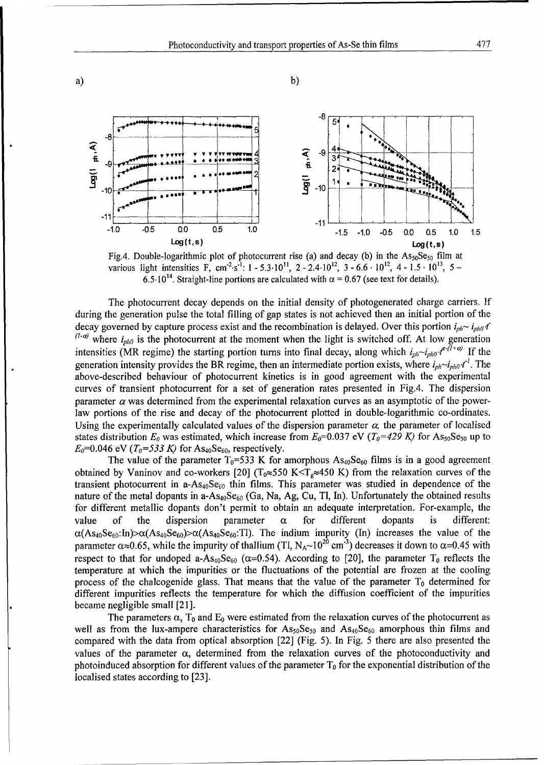



The photocurrent decay depends on the initial density of photogenerated charge carriers. **If** during the generation pulse the total filling of gap states is not achieved then an initial portion of the decay governed by capture process exist and the recombination is delayed. Over this portion  $i_{ph} \sim i_{ph0} \cdot t$  $(1-a)$  where  $i_{ph0}$  is the photocurrent at the moment when the light is switched off. At low generation intensities (MR regime) the starting portion turns into final decay, along which  $i_{ph} \sim i_{ph0} t^{e-(1+\alpha)}$  If the generation intensity provides the BR regime, then an intermediate portion exists, where  $i_{ph} \sim i_{ph0} t'$ . The above-described behaviour of photocurrent kinetics is in good agreement with the experimental curves of transient photocurrent for a set of generation rates presented in Fig.4. The dispersion parameter  $\alpha$  was determined from the experimental relaxation curves as an asymptotic of the powerlaw portions of the rise and decay of the photocurrent plotted in double-logarithmic co-ordinates. Using the experimentally calculated values of the dispersion parameter  $\alpha$ , the parameter of localised states distribution  $E_0$  was estimated, which increase from  $E_0$ =0.037 eV ( $T_0$ =429 K) for As<sub>50</sub>Se<sub>50</sub> up to  $E_0$ =0.046 eV ( $T_0$ =533 K) for As<sub>40</sub>Se<sub>60</sub>, respectively.

The value of the parameter  $T_0$ =533 K for amorphous  $As_{40}Se_{60}$  films is in a good agreement obtained by Vaninov and co-workers [20] ( $T_0 \approx 550$  K  $T_g \approx 450$  K) from the relaxation curves of the transient photocurrent in a-As<sub>40</sub>Se<sub>60</sub> thin films. This parameter was studied in dependence of the nature of the metal dopants in a- $As_{40}Se_{60}$  (Ga, Na, Ag, Cu, Tl, In). Unfortunately the obtained results for different metallic dopants don't permit to obtain an adequate interpretation. For-example, the value of the dispersion parameter  $\alpha$  for different dopants is different  $\alpha(As_{40}Se_{60}:In)>\alpha(As_{40}Se_{60})>\alpha(As_{40}Se_{60}:T1)$ . The indium impurity (In) increases the value of the parameter  $\alpha \approx 0.65$ , while the impurity of thallium (Tl, N<sub>A</sub> $\sim 10^{20}$  cm<sup>-3</sup>) decreases it down to  $\alpha$ =0.45 with respect to that for undoped a-As<sub>40</sub>Se<sub>60</sub> ( $\alpha$ =0.54). According to [20], the parameter T<sub>0</sub> reflects the temperature at which the impurities or the fluctuations of the potential are frozen at the cooling process of the chalcogenide glass. That means that the value of the parameter  $T_0$  determined for different impurities reflects the temperature for which the diffusion coefficient of the impurities became negligible small [21].

The parameters  $\alpha$ ,  $T_0$  and  $E_0$  were estimated from the relaxation curves of the photocurrent as well as from the lux-ampere characteristics for  $As_{50}Se_{50}$  and  $As_{40}Se_{60}$  amorphous thin films and compared with the data from optical absorption [22] (Fig. 5). In Fig. 5 there are also presented the values of the parameter  $\alpha$ , determined from the relaxation curves of the photoconductivity and photoinduced absorption for different values of the parameter  $T_0$  for the exponential distribution of the localised states according to [23].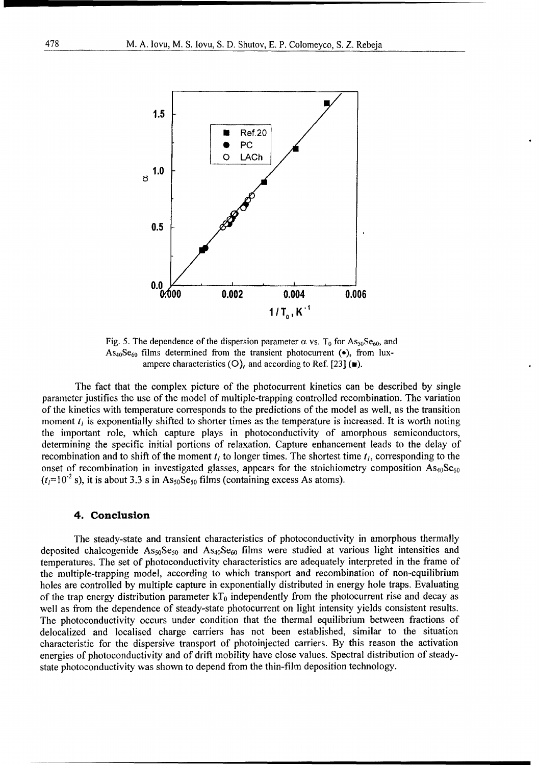

Fig. 5. The dependence of the dispersion parameter  $\alpha$  vs. T<sub>0</sub> for As<sub>50</sub>Se<sub>60</sub>, and  $As<sub>40</sub>Se<sub>60</sub>$  films determined from the transient photocurrent ( $\bullet$ ), from luxampere characteristics  $(O)$ , and according to Ref. [23]  $(\mathbf{w})$ .

The fact that the complex picture of the photocurrent kinetics can be described by single parameter justifies the use of the model of multiple-trapping controlled recombination. The variation of the kinetics with temperature corresponds to the predictions of the model as well, as the transition moment  $t_i$  is exponentially shifted to shorter times as the temperature is increased. It is worth noting the important role, which capture plays in photoconductivity of amorphous semiconductors, determining the specific initial portions of relaxation. Capture enhancement leads to the delay of recombination and to shift of the moment  $t<sub>l</sub>$  to longer times. The shortest time  $t<sub>l</sub>$ , corresponding to the onset of recombination in investigated glasses, appears for the stoichiometry composition  $\text{As}_{40}\text{Se}_{60}$  $(t)$ =10<sup>-2</sup> s), it is about 3.3 s in As<sub>50</sub>Se<sub>50</sub> films (containing excess As atoms).

#### 4. Conclusion

The steady-state and transient characteristics of photoconductivity in amorphous thermally deposited chalcogenide  $As_{50}Se_{50}$  and  $As_{40}Se_{60}$  films were studied at various light intensities and temperatures. The set of photoconductivity characteristics are adequately interpreted in the frame of the multiple-trapping model, according to which transport and recombination of non-equilibrium holes are controlled by multiple capture in exponentially distributed in energy hole traps. Evaluating of the trap energy distribution parameter  $kT_0$  independently from the photocurrent rise and decay as well as from the dependence of steady-state photocurrent on light intensity yields consistent results. The photoconductivity occurs under condition that the thermal equilibrium between fractions of delocalized and localised charge carriers has not been established, similar to the situation characteristic for the dispersive transport of photoinjected carriers. By this reason the activation energies of photoconductivity and of drift mobility have close values. Spectral distribution of steadystate photoconductivity was shown to depend from the thin-film deposition technology.